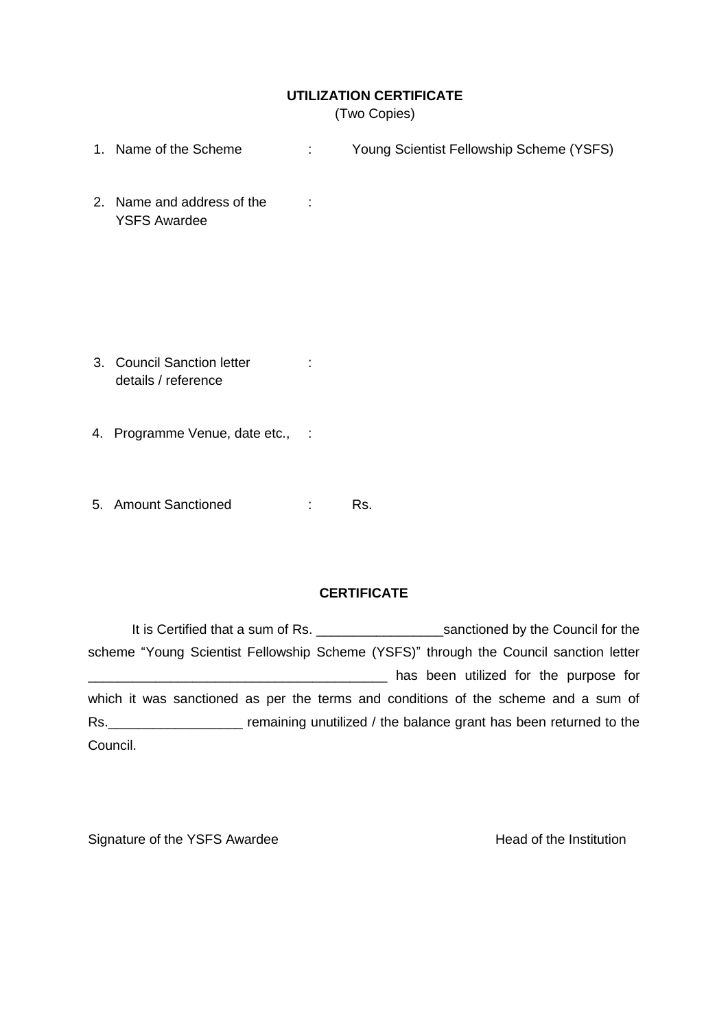## **UTILIZATION CERTIFICATE**

(Two Copies)

- 1. Name of the Scheme : Young Scientist Fellowship Scheme (YSFS)
- 2. Name and address of the : YSFS Awardee

- 3. Council Sanction letter : details / reference
- 4. Programme Venue, date etc., :
- 5. Amount Sanctioned : Rs.

## **CERTIFICATE**

It is Certified that a sum of Rs. \_\_\_\_\_\_\_\_\_\_\_\_\_\_\_\_\_\_\_\_\_\_\_\_\_\_sanctioned by the Council for the scheme "Young Scientist Fellowship Scheme (YSFS)" through the Council sanction letter has been utilized for the purpose for which it was sanctioned as per the terms and conditions of the scheme and a sum of Rs. **EXECUTE:** remaining unutilized / the balance grant has been returned to the Council.

Signature of the YSFS Awardee Head of the Institution